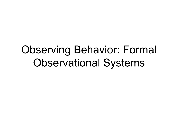### Observing Behavior: Formal Observational Systems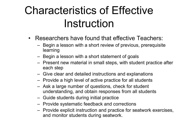# Characteristics of Effective Instruction

- Researchers have found that effective Teachers:
	- Begin a lesson with a short review of previous, prerequisite learning
	- Begin a lesson with a short statement of goals
	- Present new material in small steps, with student practice after each step
	- Give clear and detailed instructions and explanations
	- Provide a high level of active practice for all students
	- Ask a large number of questions, check for student understanding, and obtain responses from all students
	- Guide students during initial practice
	- Provide systematic feedback and corrections
	- Provide explicit instruction and practice for seatwork exercises, and monitor students during seatwork.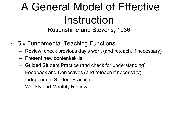# A General Model of Effective Instruction

Rosenshine and Stevens, 1986

- Six Fundamental Teaching Functions:
	- Review, check previous day's work (and reteach, if necessary)
	- Present new content/skills
	- Guided Student Practice (and check for understanding)
	- Feedback and Correctives (and reteach if necessary)
	- Independent Student Practice
	- Weekly and Monthly Review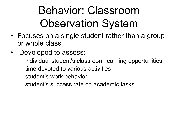# Behavior: Classroom Observation System

- Focuses on a single student rather than a group or whole class
- Developed to assess:
	- individual student's classroom learning opportunities
	- time devoted to various activities
	- student's work behavior
	- student's success rate on academic tasks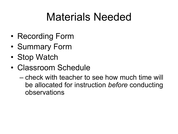# Materials Needed

- Recording Form
- Summary Form
- Stop Watch
- Classroom Schedule
	- check with teacher to see how much time will be allocated for instruction *before* conducting observations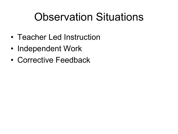### Observation Situations

- Teacher Led Instruction
- Independent Work
- Corrective Feedback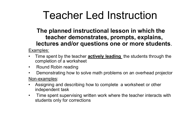### Teacher Led Instruction

#### **The planned instructional lesson in which the teacher demonstrates, prompts, explains, lectures and/or questions one or more students**.

Examples:

- Time spent by the teacher **actively leading** the students through the completion of a worksheet
- Round Robin reading
- Demonstrating how to solve math problems on an overhead projector

Non-examples:

- Assigning and describing how to complete a worksheet or other independent task
- Time spent supervising written work where the teacher interacts with students only for corrections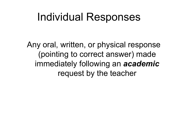### Individual Responses

Any oral, written, or physical response (pointing to correct answer) made immediately following an *academic*  request by the teacher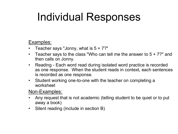# Individual Responses

#### Examples:

- Teacher says "Jonny, what is  $5 + 7$ ?"
- Teacher says to the class "Who can tell me the answer to 5 + 7?" and then calls on Jonny.
- Reading Each word read during isolated word practice is recorded as one response. When the student reads in context, each sentences is recorded as one response.
- Student working one-to-one with the teacher on completing a worksheet

Non-Examples:

- Any request that is not academic (telling student to be quiet or to put away a book)
- Silent reading (include in section B)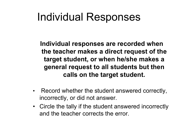### Individual Responses

**Individual responses are recorded when the teacher makes a direct request of the target student, or when he/she makes a general request to all students but then calls on the target student.**

- Record whether the student answered correctly, incorrectly, or did not answer.
- Circle the tally if the student answered incorrectly and the teacher corrects the error.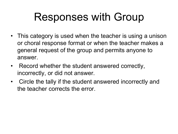### Responses with Group

- This category is used when the teacher is using a unison or choral response format or when the teacher makes a general request of the group and permits anyone to answer.
- Record whether the student answered correctly, incorrectly, or did not answer.
- Circle the tally if the student answered incorrectly and the teacher corrects the error.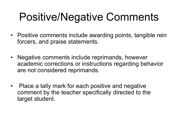## Positive/Negative Comments

- Positive comments include awarding points, tangible rein forcers, and praise statements.
- Negative comments include reprimands, however academic corrections or instructions regarding behavior are not considered reprimands.
- Place a tally mark for each positive and negative comment by the teacher specifically directed to the target student.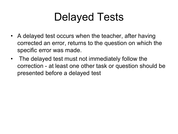## Delayed Tests

- A delayed test occurs when the teacher, after having corrected an error, returns to the question on which the specific error was made.
- The delayed test must not immediately follow the correction - at least one other task or question should be presented before a delayed test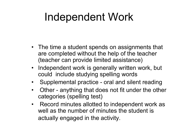### Independent Work

- The time a student spends on assignments that are completed without the help of the teacher (teacher can provide limited assistance)
- Independent work is generally written work, but could include studying spelling words
- Supplemental practice oral and silent reading
- Other anything that does not fit under the other categories (spelling test)
- Record minutes allotted to independent work as well as the number of minutes the student is actually engaged in the activity.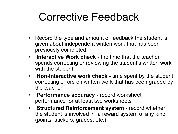### Corrective Feedback

- Record the type and amount of feedback the student is given about independent written work that has been previously completed.
- **Interactive Work check** the time that the teacher spends correcting or reviewing the student's written work with the student
- **Non-interactive work check**  time spent by the student correcting errors on written work that has been graded by the teacher
- **Performance accuracy** record worksheet performance for at least two worksheets
- **Structured Reinforcement system** record whether the student is involved in a reward system of any kind (points, stickers, grades, etc.)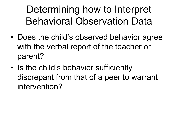### Determining how to Interpret Behavioral Observation Data

- Does the child's observed behavior agree with the verbal report of the teacher or parent?
- Is the child's behavior sufficiently discrepant from that of a peer to warrant intervention?